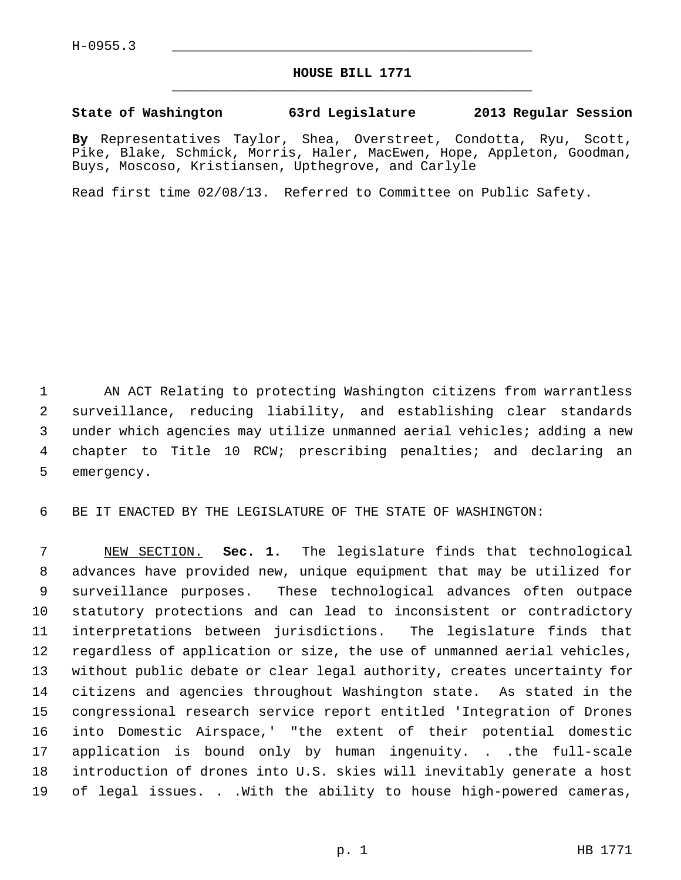## **HOUSE BILL 1771** \_\_\_\_\_\_\_\_\_\_\_\_\_\_\_\_\_\_\_\_\_\_\_\_\_\_\_\_\_\_\_\_\_\_\_\_\_\_\_\_\_\_\_\_\_

## **State of Washington 63rd Legislature 2013 Regular Session**

**By** Representatives Taylor, Shea, Overstreet, Condotta, Ryu, Scott, Pike, Blake, Schmick, Morris, Haler, MacEwen, Hope, Appleton, Goodman, Buys, Moscoso, Kristiansen, Upthegrove, and Carlyle

Read first time 02/08/13. Referred to Committee on Public Safety.

 1 AN ACT Relating to protecting Washington citizens from warrantless 2 surveillance, reducing liability, and establishing clear standards 3 under which agencies may utilize unmanned aerial vehicles; adding a new 4 chapter to Title 10 RCW; prescribing penalties; and declaring an 5 emergency.

6 BE IT ENACTED BY THE LEGISLATURE OF THE STATE OF WASHINGTON:

 7 NEW SECTION. **Sec. 1.** The legislature finds that technological 8 advances have provided new, unique equipment that may be utilized for 9 surveillance purposes. These technological advances often outpace 10 statutory protections and can lead to inconsistent or contradictory 11 interpretations between jurisdictions. The legislature finds that 12 regardless of application or size, the use of unmanned aerial vehicles, 13 without public debate or clear legal authority, creates uncertainty for 14 citizens and agencies throughout Washington state. As stated in the 15 congressional research service report entitled 'Integration of Drones 16 into Domestic Airspace,' "the extent of their potential domestic 17 application is bound only by human ingenuity. . .the full-scale 18 introduction of drones into U.S. skies will inevitably generate a host 19 of legal issues. . .With the ability to house high-powered cameras,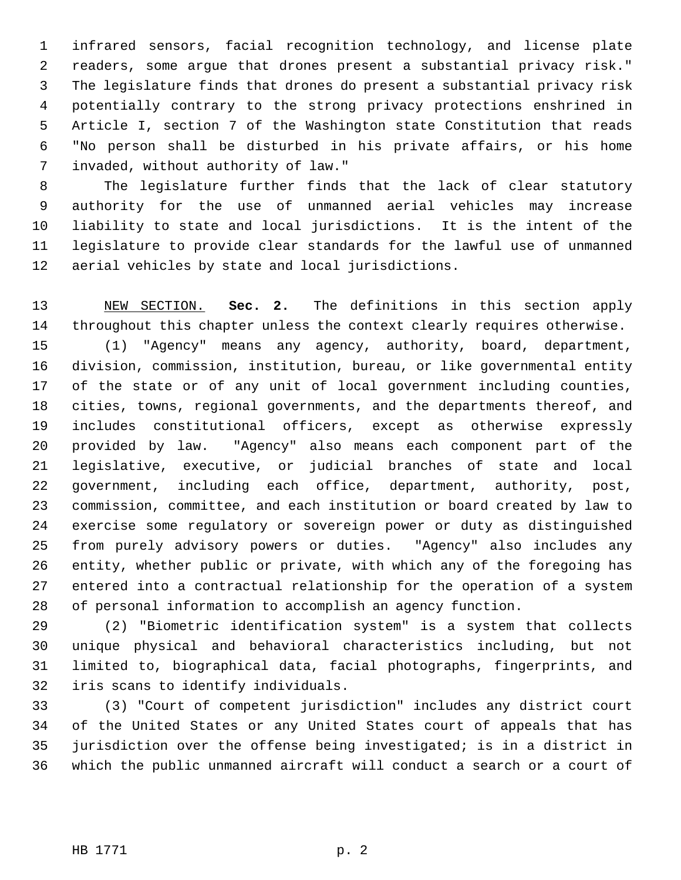1 infrared sensors, facial recognition technology, and license plate 2 readers, some argue that drones present a substantial privacy risk." 3 The legislature finds that drones do present a substantial privacy risk 4 potentially contrary to the strong privacy protections enshrined in 5 Article I, section 7 of the Washington state Constitution that reads 6 "No person shall be disturbed in his private affairs, or his home 7 invaded, without authority of law."

 8 The legislature further finds that the lack of clear statutory 9 authority for the use of unmanned aerial vehicles may increase 10 liability to state and local jurisdictions. It is the intent of the 11 legislature to provide clear standards for the lawful use of unmanned 12 aerial vehicles by state and local jurisdictions.

13 NEW SECTION. **Sec. 2.** The definitions in this section apply 14 throughout this chapter unless the context clearly requires otherwise. 15 (1) "Agency" means any agency, authority, board, department, 16 division, commission, institution, bureau, or like governmental entity 17 of the state or of any unit of local government including counties, 18 cities, towns, regional governments, and the departments thereof, and 19 includes constitutional officers, except as otherwise expressly 20 provided by law. "Agency" also means each component part of the 21 legislative, executive, or judicial branches of state and local 22 government, including each office, department, authority, post, 23 commission, committee, and each institution or board created by law to 24 exercise some regulatory or sovereign power or duty as distinguished 25 from purely advisory powers or duties. "Agency" also includes any 26 entity, whether public or private, with which any of the foregoing has 27 entered into a contractual relationship for the operation of a system 28 of personal information to accomplish an agency function.

29 (2) "Biometric identification system" is a system that collects 30 unique physical and behavioral characteristics including, but not 31 limited to, biographical data, facial photographs, fingerprints, and 32 iris scans to identify individuals.

33 (3) "Court of competent jurisdiction" includes any district court 34 of the United States or any United States court of appeals that has 35 jurisdiction over the offense being investigated; is in a district in 36 which the public unmanned aircraft will conduct a search or a court of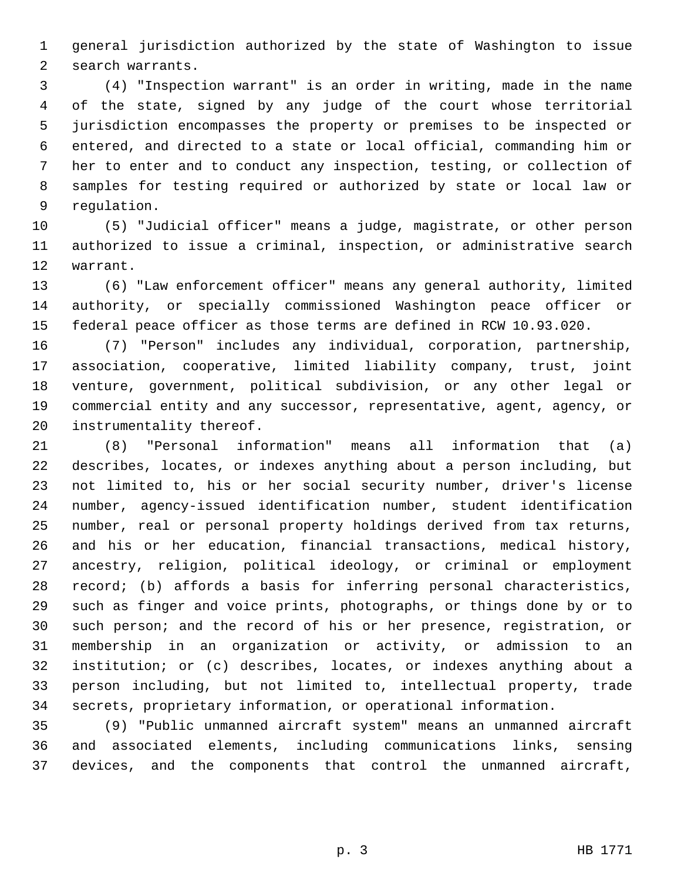1 general jurisdiction authorized by the state of Washington to issue 2 search warrants.

 3 (4) "Inspection warrant" is an order in writing, made in the name 4 of the state, signed by any judge of the court whose territorial 5 jurisdiction encompasses the property or premises to be inspected or 6 entered, and directed to a state or local official, commanding him or 7 her to enter and to conduct any inspection, testing, or collection of 8 samples for testing required or authorized by state or local law or 9 regulation.

10 (5) "Judicial officer" means a judge, magistrate, or other person 11 authorized to issue a criminal, inspection, or administrative search 12 warrant.

13 (6) "Law enforcement officer" means any general authority, limited 14 authority, or specially commissioned Washington peace officer or 15 federal peace officer as those terms are defined in RCW 10.93.020.

16 (7) "Person" includes any individual, corporation, partnership, 17 association, cooperative, limited liability company, trust, joint 18 venture, government, political subdivision, or any other legal or 19 commercial entity and any successor, representative, agent, agency, or 20 instrumentality thereof.

21 (8) "Personal information" means all information that (a) 22 describes, locates, or indexes anything about a person including, but 23 not limited to, his or her social security number, driver's license 24 number, agency-issued identification number, student identification 25 number, real or personal property holdings derived from tax returns, 26 and his or her education, financial transactions, medical history, 27 ancestry, religion, political ideology, or criminal or employment 28 record; (b) affords a basis for inferring personal characteristics, 29 such as finger and voice prints, photographs, or things done by or to 30 such person; and the record of his or her presence, registration, or 31 membership in an organization or activity, or admission to an 32 institution; or (c) describes, locates, or indexes anything about a 33 person including, but not limited to, intellectual property, trade 34 secrets, proprietary information, or operational information.

35 (9) "Public unmanned aircraft system" means an unmanned aircraft 36 and associated elements, including communications links, sensing 37 devices, and the components that control the unmanned aircraft,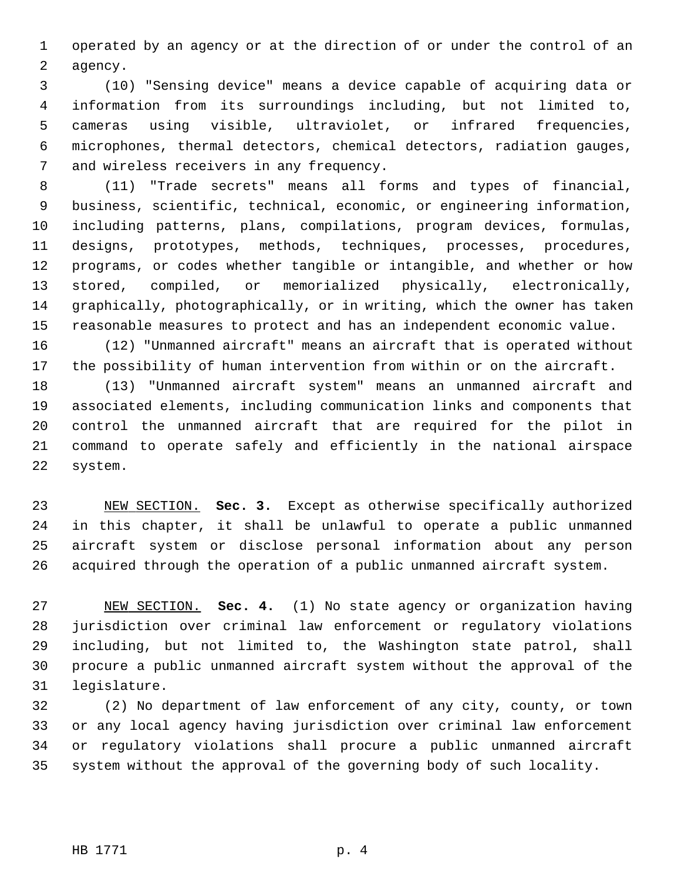1 operated by an agency or at the direction of or under the control of an 2 agency.

 3 (10) "Sensing device" means a device capable of acquiring data or 4 information from its surroundings including, but not limited to, 5 cameras using visible, ultraviolet, or infrared frequencies, 6 microphones, thermal detectors, chemical detectors, radiation gauges, 7 and wireless receivers in any frequency.

 8 (11) "Trade secrets" means all forms and types of financial, 9 business, scientific, technical, economic, or engineering information, 10 including patterns, plans, compilations, program devices, formulas, 11 designs, prototypes, methods, techniques, processes, procedures, 12 programs, or codes whether tangible or intangible, and whether or how 13 stored, compiled, or memorialized physically, electronically, 14 graphically, photographically, or in writing, which the owner has taken 15 reasonable measures to protect and has an independent economic value.

16 (12) "Unmanned aircraft" means an aircraft that is operated without 17 the possibility of human intervention from within or on the aircraft.

18 (13) "Unmanned aircraft system" means an unmanned aircraft and 19 associated elements, including communication links and components that 20 control the unmanned aircraft that are required for the pilot in 21 command to operate safely and efficiently in the national airspace 22 system.

23 NEW SECTION. **Sec. 3.** Except as otherwise specifically authorized 24 in this chapter, it shall be unlawful to operate a public unmanned 25 aircraft system or disclose personal information about any person 26 acquired through the operation of a public unmanned aircraft system.

27 NEW SECTION. **Sec. 4.** (1) No state agency or organization having 28 jurisdiction over criminal law enforcement or regulatory violations 29 including, but not limited to, the Washington state patrol, shall 30 procure a public unmanned aircraft system without the approval of the 31 legislature.

32 (2) No department of law enforcement of any city, county, or town 33 or any local agency having jurisdiction over criminal law enforcement 34 or regulatory violations shall procure a public unmanned aircraft 35 system without the approval of the governing body of such locality.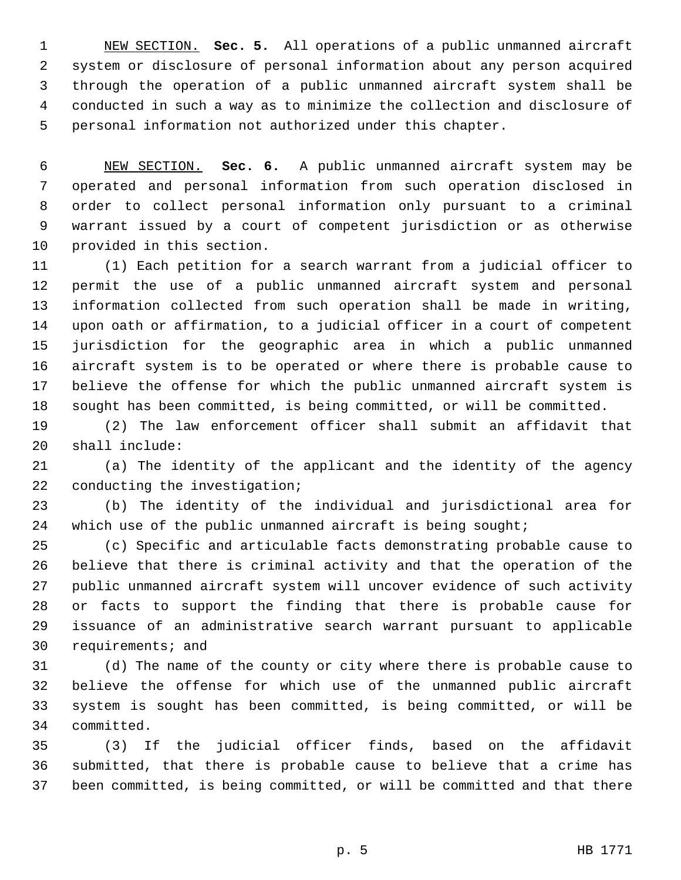1 NEW SECTION. **Sec. 5.** All operations of a public unmanned aircraft 2 system or disclosure of personal information about any person acquired 3 through the operation of a public unmanned aircraft system shall be 4 conducted in such a way as to minimize the collection and disclosure of 5 personal information not authorized under this chapter.

 6 NEW SECTION. **Sec. 6.** A public unmanned aircraft system may be 7 operated and personal information from such operation disclosed in 8 order to collect personal information only pursuant to a criminal 9 warrant issued by a court of competent jurisdiction or as otherwise 10 provided in this section.

11 (1) Each petition for a search warrant from a judicial officer to 12 permit the use of a public unmanned aircraft system and personal 13 information collected from such operation shall be made in writing, 14 upon oath or affirmation, to a judicial officer in a court of competent 15 jurisdiction for the geographic area in which a public unmanned 16 aircraft system is to be operated or where there is probable cause to 17 believe the offense for which the public unmanned aircraft system is 18 sought has been committed, is being committed, or will be committed.

19 (2) The law enforcement officer shall submit an affidavit that 20 shall include:

21 (a) The identity of the applicant and the identity of the agency 22 conducting the investigation;

23 (b) The identity of the individual and jurisdictional area for 24 which use of the public unmanned aircraft is being sought;

25 (c) Specific and articulable facts demonstrating probable cause to 26 believe that there is criminal activity and that the operation of the 27 public unmanned aircraft system will uncover evidence of such activity 28 or facts to support the finding that there is probable cause for 29 issuance of an administrative search warrant pursuant to applicable 30 requirements; and

31 (d) The name of the county or city where there is probable cause to 32 believe the offense for which use of the unmanned public aircraft 33 system is sought has been committed, is being committed, or will be 34 committed.

35 (3) If the judicial officer finds, based on the affidavit 36 submitted, that there is probable cause to believe that a crime has 37 been committed, is being committed, or will be committed and that there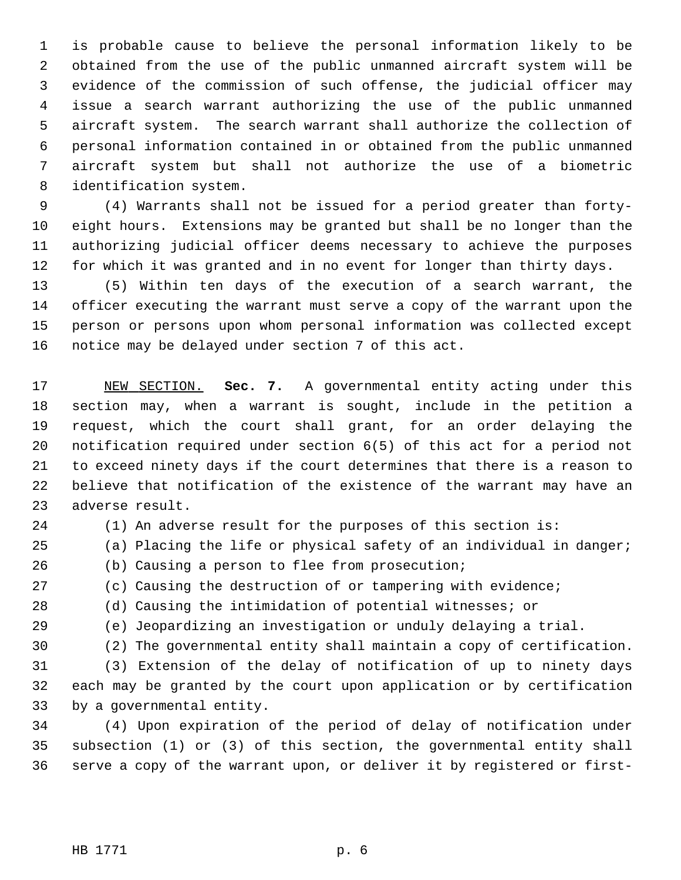1 is probable cause to believe the personal information likely to be 2 obtained from the use of the public unmanned aircraft system will be 3 evidence of the commission of such offense, the judicial officer may 4 issue a search warrant authorizing the use of the public unmanned 5 aircraft system. The search warrant shall authorize the collection of 6 personal information contained in or obtained from the public unmanned 7 aircraft system but shall not authorize the use of a biometric 8 identification system.

 9 (4) Warrants shall not be issued for a period greater than forty-10 eight hours. Extensions may be granted but shall be no longer than the 11 authorizing judicial officer deems necessary to achieve the purposes 12 for which it was granted and in no event for longer than thirty days.

13 (5) Within ten days of the execution of a search warrant, the 14 officer executing the warrant must serve a copy of the warrant upon the 15 person or persons upon whom personal information was collected except 16 notice may be delayed under section 7 of this act.

17 NEW SECTION. **Sec. 7.** A governmental entity acting under this 18 section may, when a warrant is sought, include in the petition a 19 request, which the court shall grant, for an order delaying the 20 notification required under section 6(5) of this act for a period not 21 to exceed ninety days if the court determines that there is a reason to 22 believe that notification of the existence of the warrant may have an 23 adverse result.

24 (1) An adverse result for the purposes of this section is:

25 (a) Placing the life or physical safety of an individual in danger;

26 (b) Causing a person to flee from prosecution;

27 (c) Causing the destruction of or tampering with evidence;

28 (d) Causing the intimidation of potential witnesses; or

29 (e) Jeopardizing an investigation or unduly delaying a trial.

30 (2) The governmental entity shall maintain a copy of certification.

31 (3) Extension of the delay of notification of up to ninety days 32 each may be granted by the court upon application or by certification 33 by a governmental entity.

34 (4) Upon expiration of the period of delay of notification under 35 subsection (1) or (3) of this section, the governmental entity shall 36 serve a copy of the warrant upon, or deliver it by registered or first-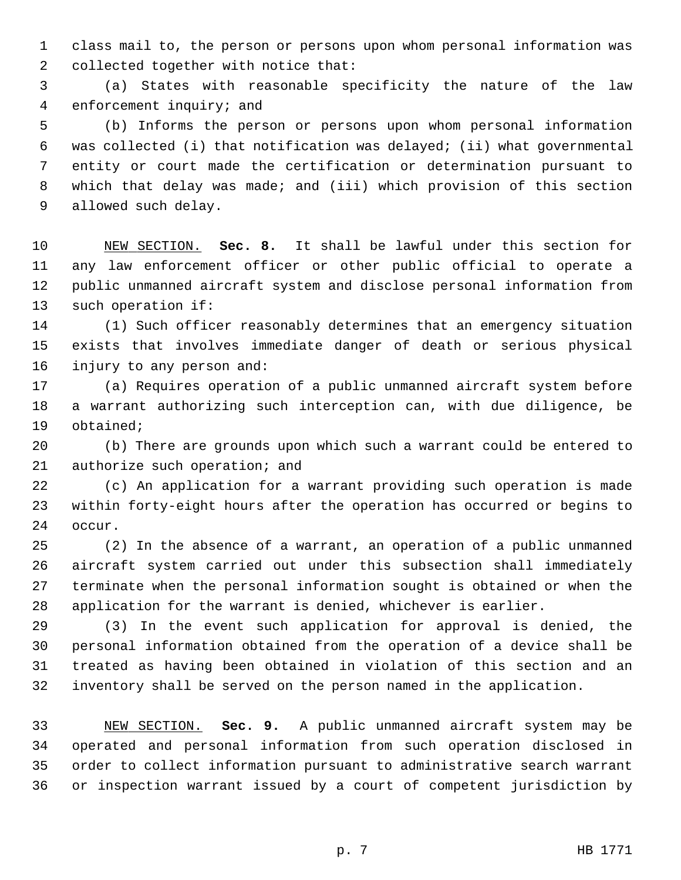1 class mail to, the person or persons upon whom personal information was 2 collected together with notice that:

 3 (a) States with reasonable specificity the nature of the law 4 enforcement inquiry; and

 5 (b) Informs the person or persons upon whom personal information 6 was collected (i) that notification was delayed; (ii) what governmental 7 entity or court made the certification or determination pursuant to 8 which that delay was made; and (iii) which provision of this section 9 allowed such delay.

10 NEW SECTION. **Sec. 8.** It shall be lawful under this section for 11 any law enforcement officer or other public official to operate a 12 public unmanned aircraft system and disclose personal information from 13 such operation if:

14 (1) Such officer reasonably determines that an emergency situation 15 exists that involves immediate danger of death or serious physical 16 injury to any person and:

17 (a) Requires operation of a public unmanned aircraft system before 18 a warrant authorizing such interception can, with due diligence, be 19 obtained;

20 (b) There are grounds upon which such a warrant could be entered to 21 authorize such operation; and

22 (c) An application for a warrant providing such operation is made 23 within forty-eight hours after the operation has occurred or begins to 24 occur.

25 (2) In the absence of a warrant, an operation of a public unmanned 26 aircraft system carried out under this subsection shall immediately 27 terminate when the personal information sought is obtained or when the 28 application for the warrant is denied, whichever is earlier.

29 (3) In the event such application for approval is denied, the 30 personal information obtained from the operation of a device shall be 31 treated as having been obtained in violation of this section and an 32 inventory shall be served on the person named in the application.

33 NEW SECTION. **Sec. 9.** A public unmanned aircraft system may be 34 operated and personal information from such operation disclosed in 35 order to collect information pursuant to administrative search warrant 36 or inspection warrant issued by a court of competent jurisdiction by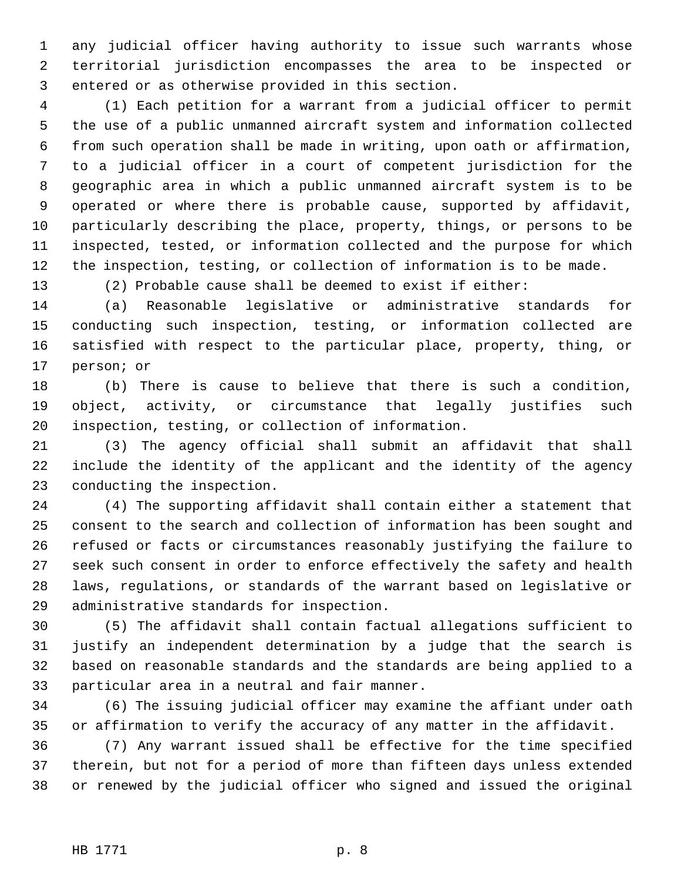1 any judicial officer having authority to issue such warrants whose 2 territorial jurisdiction encompasses the area to be inspected or 3 entered or as otherwise provided in this section.

 4 (1) Each petition for a warrant from a judicial officer to permit 5 the use of a public unmanned aircraft system and information collected 6 from such operation shall be made in writing, upon oath or affirmation, 7 to a judicial officer in a court of competent jurisdiction for the 8 geographic area in which a public unmanned aircraft system is to be 9 operated or where there is probable cause, supported by affidavit, 10 particularly describing the place, property, things, or persons to be 11 inspected, tested, or information collected and the purpose for which 12 the inspection, testing, or collection of information is to be made.

13 (2) Probable cause shall be deemed to exist if either:

14 (a) Reasonable legislative or administrative standards for 15 conducting such inspection, testing, or information collected are 16 satisfied with respect to the particular place, property, thing, or 17 person; or

18 (b) There is cause to believe that there is such a condition, 19 object, activity, or circumstance that legally justifies such 20 inspection, testing, or collection of information.

21 (3) The agency official shall submit an affidavit that shall 22 include the identity of the applicant and the identity of the agency 23 conducting the inspection.

24 (4) The supporting affidavit shall contain either a statement that 25 consent to the search and collection of information has been sought and 26 refused or facts or circumstances reasonably justifying the failure to 27 seek such consent in order to enforce effectively the safety and health 28 laws, regulations, or standards of the warrant based on legislative or 29 administrative standards for inspection.

30 (5) The affidavit shall contain factual allegations sufficient to 31 justify an independent determination by a judge that the search is 32 based on reasonable standards and the standards are being applied to a 33 particular area in a neutral and fair manner.

34 (6) The issuing judicial officer may examine the affiant under oath 35 or affirmation to verify the accuracy of any matter in the affidavit.

36 (7) Any warrant issued shall be effective for the time specified 37 therein, but not for a period of more than fifteen days unless extended 38 or renewed by the judicial officer who signed and issued the original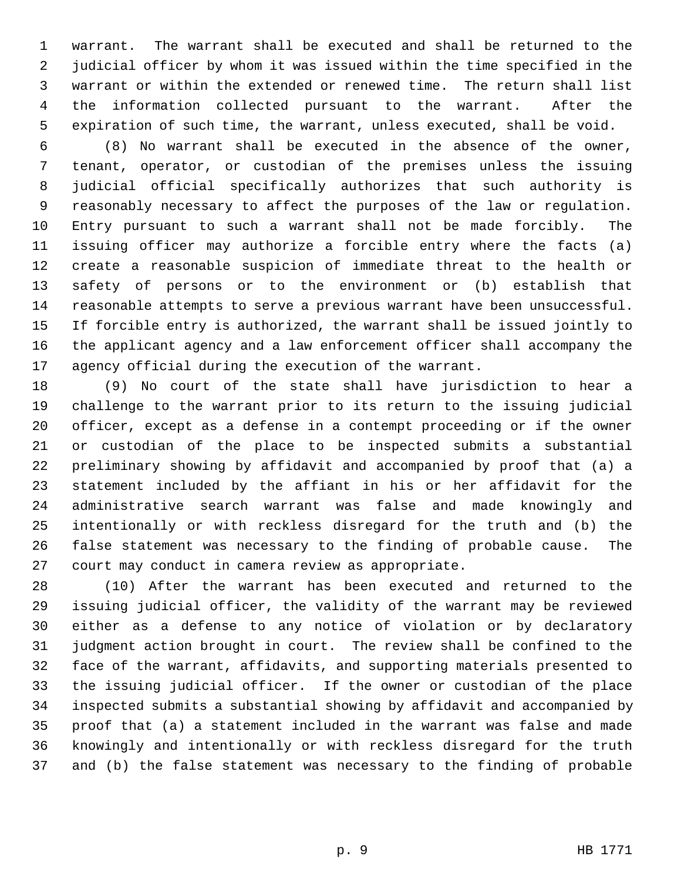1 warrant. The warrant shall be executed and shall be returned to the 2 judicial officer by whom it was issued within the time specified in the 3 warrant or within the extended or renewed time. The return shall list 4 the information collected pursuant to the warrant. After the 5 expiration of such time, the warrant, unless executed, shall be void.

 6 (8) No warrant shall be executed in the absence of the owner, 7 tenant, operator, or custodian of the premises unless the issuing 8 judicial official specifically authorizes that such authority is 9 reasonably necessary to affect the purposes of the law or regulation. 10 Entry pursuant to such a warrant shall not be made forcibly. The 11 issuing officer may authorize a forcible entry where the facts (a) 12 create a reasonable suspicion of immediate threat to the health or 13 safety of persons or to the environment or (b) establish that 14 reasonable attempts to serve a previous warrant have been unsuccessful. 15 If forcible entry is authorized, the warrant shall be issued jointly to 16 the applicant agency and a law enforcement officer shall accompany the 17 agency official during the execution of the warrant.

18 (9) No court of the state shall have jurisdiction to hear a 19 challenge to the warrant prior to its return to the issuing judicial 20 officer, except as a defense in a contempt proceeding or if the owner 21 or custodian of the place to be inspected submits a substantial 22 preliminary showing by affidavit and accompanied by proof that (a) a 23 statement included by the affiant in his or her affidavit for the 24 administrative search warrant was false and made knowingly and 25 intentionally or with reckless disregard for the truth and (b) the 26 false statement was necessary to the finding of probable cause. The 27 court may conduct in camera review as appropriate.

28 (10) After the warrant has been executed and returned to the 29 issuing judicial officer, the validity of the warrant may be reviewed 30 either as a defense to any notice of violation or by declaratory 31 judgment action brought in court. The review shall be confined to the 32 face of the warrant, affidavits, and supporting materials presented to 33 the issuing judicial officer. If the owner or custodian of the place 34 inspected submits a substantial showing by affidavit and accompanied by 35 proof that (a) a statement included in the warrant was false and made 36 knowingly and intentionally or with reckless disregard for the truth 37 and (b) the false statement was necessary to the finding of probable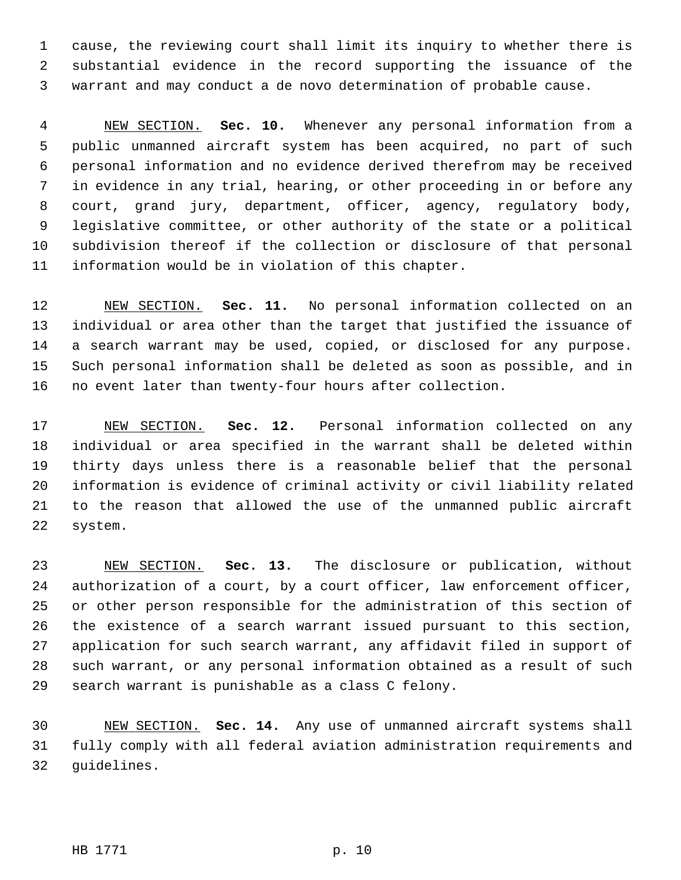1 cause, the reviewing court shall limit its inquiry to whether there is 2 substantial evidence in the record supporting the issuance of the 3 warrant and may conduct a de novo determination of probable cause.

 4 NEW SECTION. **Sec. 10.** Whenever any personal information from a 5 public unmanned aircraft system has been acquired, no part of such 6 personal information and no evidence derived therefrom may be received 7 in evidence in any trial, hearing, or other proceeding in or before any 8 court, grand jury, department, officer, agency, regulatory body, 9 legislative committee, or other authority of the state or a political 10 subdivision thereof if the collection or disclosure of that personal 11 information would be in violation of this chapter.

12 NEW SECTION. **Sec. 11.** No personal information collected on an 13 individual or area other than the target that justified the issuance of 14 a search warrant may be used, copied, or disclosed for any purpose. 15 Such personal information shall be deleted as soon as possible, and in 16 no event later than twenty-four hours after collection.

17 NEW SECTION. **Sec. 12.** Personal information collected on any 18 individual or area specified in the warrant shall be deleted within 19 thirty days unless there is a reasonable belief that the personal 20 information is evidence of criminal activity or civil liability related 21 to the reason that allowed the use of the unmanned public aircraft 22 system.

23 NEW SECTION. **Sec. 13.** The disclosure or publication, without 24 authorization of a court, by a court officer, law enforcement officer, 25 or other person responsible for the administration of this section of 26 the existence of a search warrant issued pursuant to this section, 27 application for such search warrant, any affidavit filed in support of 28 such warrant, or any personal information obtained as a result of such 29 search warrant is punishable as a class C felony.

30 NEW SECTION. **Sec. 14.** Any use of unmanned aircraft systems shall 31 fully comply with all federal aviation administration requirements and 32 guidelines.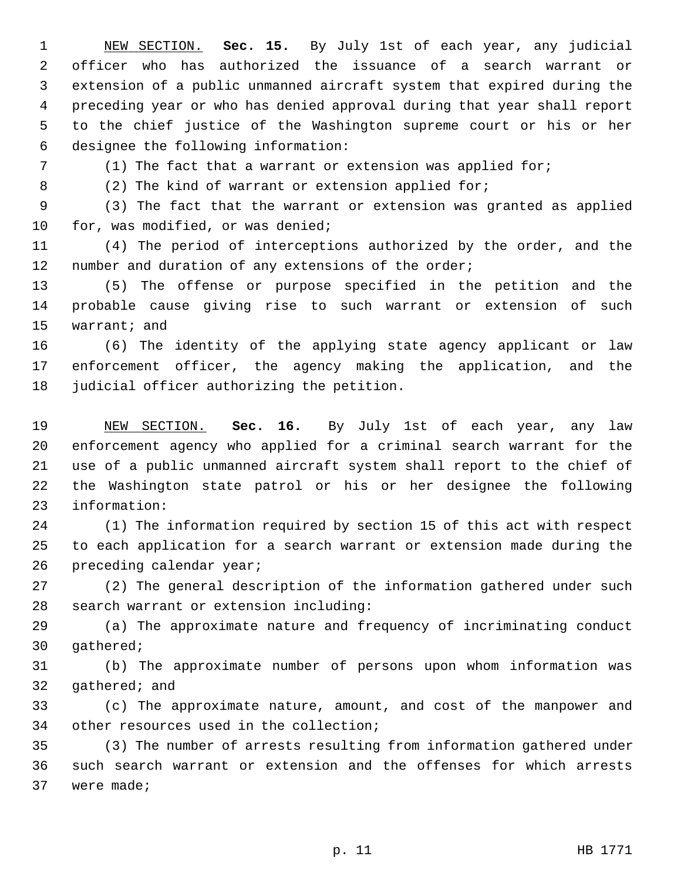1 NEW SECTION. **Sec. 15.** By July 1st of each year, any judicial 2 officer who has authorized the issuance of a search warrant or 3 extension of a public unmanned aircraft system that expired during the 4 preceding year or who has denied approval during that year shall report 5 to the chief justice of the Washington supreme court or his or her 6 designee the following information:

7 (1) The fact that a warrant or extension was applied for;

8 (2) The kind of warrant or extension applied for;

 9 (3) The fact that the warrant or extension was granted as applied 10 for, was modified, or was denied;

11 (4) The period of interceptions authorized by the order, and the 12 number and duration of any extensions of the order;

13 (5) The offense or purpose specified in the petition and the 14 probable cause giving rise to such warrant or extension of such 15 warrant; and

16 (6) The identity of the applying state agency applicant or law 17 enforcement officer, the agency making the application, and the 18 judicial officer authorizing the petition.

19 NEW SECTION. **Sec. 16.** By July 1st of each year, any law 20 enforcement agency who applied for a criminal search warrant for the 21 use of a public unmanned aircraft system shall report to the chief of 22 the Washington state patrol or his or her designee the following 23 information:

24 (1) The information required by section 15 of this act with respect 25 to each application for a search warrant or extension made during the 26 preceding calendar year;

27 (2) The general description of the information gathered under such 28 search warrant or extension including:

29 (a) The approximate nature and frequency of incriminating conduct 30 gathered;

31 (b) The approximate number of persons upon whom information was 32 gathered; and

33 (c) The approximate nature, amount, and cost of the manpower and 34 other resources used in the collection;

35 (3) The number of arrests resulting from information gathered under 36 such search warrant or extension and the offenses for which arrests 37 were made;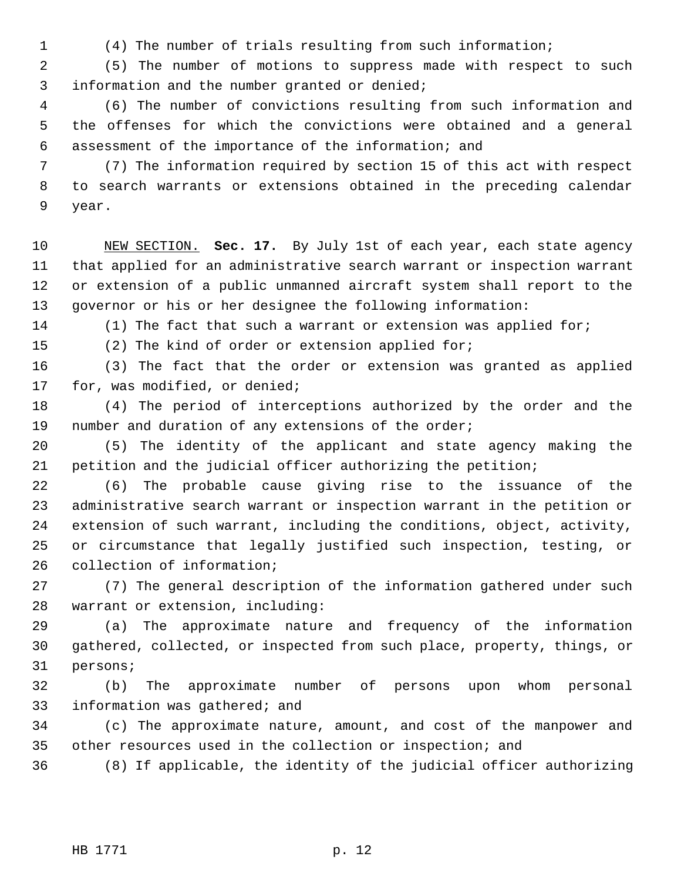1 (4) The number of trials resulting from such information;

 2 (5) The number of motions to suppress made with respect to such 3 information and the number granted or denied;

 4 (6) The number of convictions resulting from such information and 5 the offenses for which the convictions were obtained and a general 6 assessment of the importance of the information; and

 7 (7) The information required by section 15 of this act with respect 8 to search warrants or extensions obtained in the preceding calendar 9 year.

10 NEW SECTION. **Sec. 17.** By July 1st of each year, each state agency 11 that applied for an administrative search warrant or inspection warrant 12 or extension of a public unmanned aircraft system shall report to the 13 governor or his or her designee the following information:

14 (1) The fact that such a warrant or extension was applied for;

15 (2) The kind of order or extension applied for;

16 (3) The fact that the order or extension was granted as applied 17 for, was modified, or denied;

18 (4) The period of interceptions authorized by the order and the 19 number and duration of any extensions of the order;

20 (5) The identity of the applicant and state agency making the 21 petition and the judicial officer authorizing the petition;

22 (6) The probable cause giving rise to the issuance of the 23 administrative search warrant or inspection warrant in the petition or 24 extension of such warrant, including the conditions, object, activity, 25 or circumstance that legally justified such inspection, testing, or 26 collection of information;

27 (7) The general description of the information gathered under such 28 warrant or extension, including:

29 (a) The approximate nature and frequency of the information 30 gathered, collected, or inspected from such place, property, things, or 31 persons;

32 (b) The approximate number of persons upon whom personal 33 information was gathered; and

34 (c) The approximate nature, amount, and cost of the manpower and 35 other resources used in the collection or inspection; and

36 (8) If applicable, the identity of the judicial officer authorizing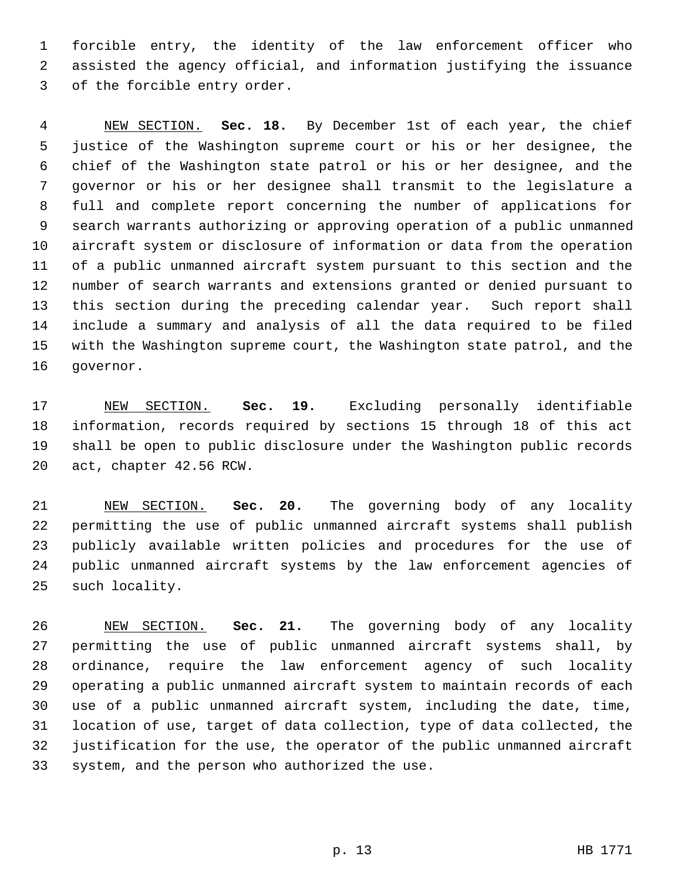1 forcible entry, the identity of the law enforcement officer who 2 assisted the agency official, and information justifying the issuance 3 of the forcible entry order.

 4 NEW SECTION. **Sec. 18.** By December 1st of each year, the chief 5 justice of the Washington supreme court or his or her designee, the 6 chief of the Washington state patrol or his or her designee, and the 7 governor or his or her designee shall transmit to the legislature a 8 full and complete report concerning the number of applications for 9 search warrants authorizing or approving operation of a public unmanned 10 aircraft system or disclosure of information or data from the operation 11 of a public unmanned aircraft system pursuant to this section and the 12 number of search warrants and extensions granted or denied pursuant to 13 this section during the preceding calendar year. Such report shall 14 include a summary and analysis of all the data required to be filed 15 with the Washington supreme court, the Washington state patrol, and the 16 governor.

17 NEW SECTION. **Sec. 19.** Excluding personally identifiable 18 information, records required by sections 15 through 18 of this act 19 shall be open to public disclosure under the Washington public records 20 act, chapter 42.56 RCW.

21 NEW SECTION. **Sec. 20.** The governing body of any locality 22 permitting the use of public unmanned aircraft systems shall publish 23 publicly available written policies and procedures for the use of 24 public unmanned aircraft systems by the law enforcement agencies of 25 such locality.

26 NEW SECTION. **Sec. 21.** The governing body of any locality 27 permitting the use of public unmanned aircraft systems shall, by 28 ordinance, require the law enforcement agency of such locality 29 operating a public unmanned aircraft system to maintain records of each 30 use of a public unmanned aircraft system, including the date, time, 31 location of use, target of data collection, type of data collected, the 32 justification for the use, the operator of the public unmanned aircraft 33 system, and the person who authorized the use.